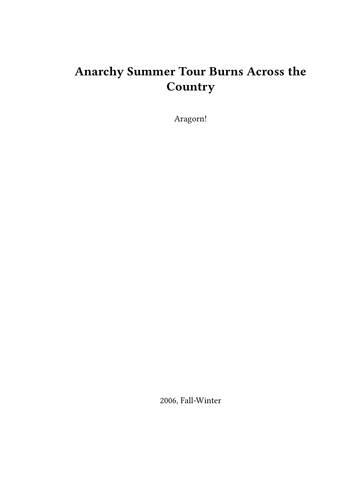# **Anarchy Summer Tour Burns Across the Country**

Aragorn!

2006, Fall-Winter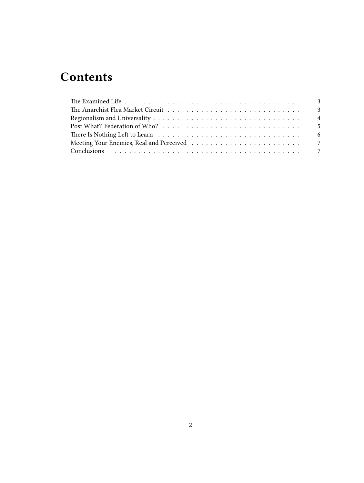# **Contents**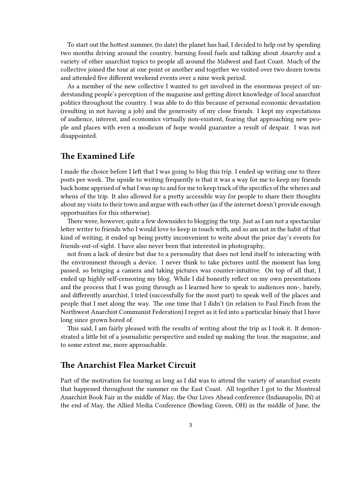To start out the hottest summer, (to date) the planet has had, I decided to help out by spending two months driving around the country, burning fossil fuels and talking about *Anarchy* and a variety of other anarchist topics to people all around the Midwest and East Coast. Much of the collective joined the tour at one point or another and together we visited over two dozen towns and attended five different weekend events over a nine week period.

As a member of the new collective I wanted to get involved in the enormous project of understanding people's perception of the magazine and getting direct knowledge of local anarchist politics throughout the country. I was able to do this because of personal economic devastation (resulting in not having a job) and the generosity of my close friends. I kept my expectations of audience, interest, and economics virtually non-existent, fearing that approaching new people and places with even a modicum of hope would guarantee a result of despair. I was not disappointed.

#### <span id="page-2-0"></span>**The Examined Life**

I made the choice before I left that I was going to blog this trip. I ended up writing one to three posts per week. The upside to writing frequently is that it was a way for me to keep my friends back home apprised of what I was up to and for me to keep track of the specifics of the wheres and whens of the trip. It also allowed for a pretty accessible way for people to share their thoughts about my visits to their town and argue with each other (as if the internet doesn't provide enough opportunities for this otherwise).

There were, however, quite a few downsides to blogging the trip. Just as I am not a spectacular letter writer to friends who I would love to keep in touch with, and so am not in the habit of that kind of writing, it ended up being pretty inconvenient to write about the prior day's events for friends-out-of-sight. I have also never been that interested in photography,

not from a lack of desire but due to a personality that does not lend itself to interacting with the environment through a device. I never think to take pictures until the moment has long passed, so bringing a camera and taking pictures was counter-intuitive. On top of all that, I ended up highly self-censoring my blog. While I did honestly reflect on my own presentations and the process that I was going through as I learned how to speak to audiences non-, barely, and differently anarchist, I tried (successfully for the most part) to speak well of the places and people that I met along the way. The one time that I didn't (in relation to Paul Finch from the Northwest Anarchist Communist Federation) I regret as it fed into a particular binaiy that I have long since grown bored of.

This said, I am fairly pleased with the results of writing about the trip as I took it. It demonstrated a little bit of a journalistic perspective and ended up making the tour, the magazine, and to some extent me, more approachable.

## <span id="page-2-1"></span>**The Anarchist Flea Market Circuit**

Part of the motivation for touring as long as I did was to attend the variety of anarchist events that happened throughout the summer on the East Coast. All together I got to the Montreal Anarchist Book Fair in the middle of May, the Our Lives Ahead conference (Indianapolis, IN) at the end of May, the Allied Media Conference (Bowling Green, OH) in the middle of June, the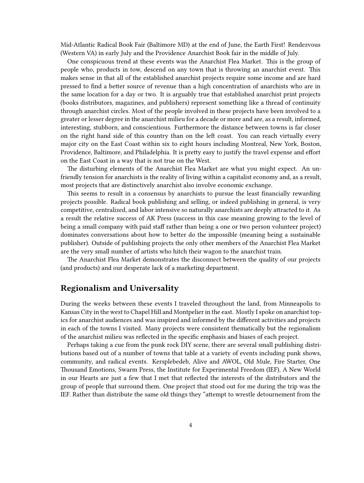Mid-Atlantic Radical Book Fair (Baltimore MD) at the end of June, the Earth First! Rendezvous (Western VA) in early July and the Providence Anarchist Book fair in the middle of July.

One conspicuous trend at these events was the Anarchist Flea Market. This is the group of people who, products in tow, descend on any town that is throwing an anarchist event. This makes sense in that all of the established anarchist projects require some income and are hard pressed to find a better source of revenue than a high concentration of anarchists who are in the same location for a day or two. It is arguably true that established anarchist print projects (books distributors, magazines, and publishers) represent something like a thread of continuity through anarchist circles. Most of the people involved in these projects have been involved to a greater or lesser degree in the anarchist milieu for a decade or more and are, as a result, informed, interesting, stubborn, and conscientious. Furthermore the distance between towns is far closer on the right hand side of this country than on the left coast. You can reach virtually every major city on the East Coast within six to eight hours including Montreal, New York, Boston, Providence, Baltimore, and Philadelphia. It is pretty easy to justify the travel expense and effort on the East Coast in a way that is not true on the West.

The disturbing elements of the Anarchist Flea Market are what you might expect. An unfriendly tension for anarchists is the reality of living within a capitalist economy and, as a result, most projects that are distinctively anarchist also involve economic exchange.

This seems to result in a consensus by anarchists to pursue the least financially rewarding projects possible. Radical book publishing and selling, or indeed publishing in general, is very competitive, centralized, and labor intensive so naturally anarchists are deeply attracted to it. As a result the relative success of AK Press (success in this case meaning growing to the level of being a small company with paid staff rather than being a one or two person volunteer project) dominates conversations about how to better do the impossible (meaning being a sustainable publisher). Outside of publishing projects the only other members of the Anarchist Flea Market are the very small number of artists who hitch their wagon to the anarchist train.

The Anarchist Flea Market demonstrates the disconnect between the quality of our projects (and products) and our desperate lack of a marketing department.

#### <span id="page-3-0"></span>**Regionalism and Universality**

During the weeks between these events I traveled throughout the land, from Minneapolis to Kansas City in the west to Chapel Hill and Montpelier in the east. Mostly I spoke on anarchist topics for anarchist audiences and was inspired and informed by the different activities and projects in each of the towns I visited. Many projects were consistent thematically but the regionalism of the anarchist milieu was reflected in the specific emphasis and biases of each project.

Perhaps taking a cue from the punk rock DIY scene, there are several small publishing distributions based out of a number of towns that table at a variety of events including punk shows, community, and radical events. Kersplebedeb, Alive and AWOL, Old Mule, Fire Starter, One Thousand Emotions, Swarm Press, the Institute for Experimental Freedom (IEF), A New World in our Hearts are just a few that I met that reflected the interests of the distributors and the group of people that surround them. One project that stood out for me during the trip was the IEF. Rather than distribute the same old things they "attempt to wrestle detournement from the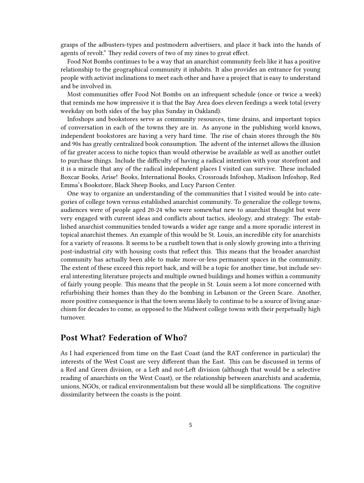grasps of the adbusters-types and postmodern advertisers, and place it back into the hands of agents of revolt." They redid covers of two of my zines to great effect.

Food Not Bombs continues to be a way that an anarchist community feels like it has a positive relationship to the geographical community it inhabits. It also provides an entrance for young people with activist inclinations to meet each other and have a project that is easy to understand and be involved in.

Most communities offer Food Not Bombs on an infrequent schedule (once or twice a week) that reminds me how impressive it is that the Bay Area does eleven feedings a week total (every weekday on both sides of the bay plus Sunday in Oakland).

Infoshops and bookstores serve as community resources, time drains, and important topics of conversation in each of the towns they are in. As anyone in the publishing world knows, independent bookstores are having a very hard time. The rise of chain stores through the 80s and 90s has greatly centralized book consumption. The advent of the internet allows the illusion of far greater access to niche topics than would otherwise be available as well as another outlet to purchase things. Include the difficulty of having a radical intention with your storefront and it is a miracle that any of the radical independent places I visited can survive. These included Boxcar Books, Arise! Books, International Books, Crossroads Infoshop, Madison Infoshop, Red Emma's Bookstore, Black Sheep Books, and Lucy Parson Center.

One way to organize an understanding of the communities that I visited would be into categories of college town versus established anarchist community. To generalize the college towns, audiences were of people aged 20-24 who were somewhat new to anarchist thought but were very engaged with current ideas and conflicts about tactics, ideology, and strategy. The established anarchist communities tended towards a wider age range and a more sporadic interest in topical anarchist themes. An example of this would be St. Louis, an incredible city for anarchists for a variety of reasons. It seems to be a rustbelt town that is only slowly growing into a thriving post-industrial city with housing costs that reflect this. This means that the broader anarchist community has actually been able to make more-or-less permanent spaces in the community. The extent of these exceed this report back, and will be a topic for another time, but include several interesting literature projects and multiple owned buildings and homes within a community of fairly young people. This means that the people in St. Louis seem a lot more concerned with refurbishing their homes than they do the bombing in Lebanon or the Green Scare. Another, more positive consequence is that the town seems likely to continue to be a source of living anarchism for decades to come, as opposed to the Midwest college towns with their perpetually high turnover.

### <span id="page-4-0"></span>**Post What? Federation of Who?**

As I had experienced from time on the East Coast (and the RAT conference in particular) the interests of the West Coast are very different than the East. This can be discussed in terms of a Red and Green division, or a Left and not-Left division (although that would be a selective reading of anarchists on the West Coast), or the relationship between anarchists and academia, unions, NGOs, or radical environmentalism but these would all be simplifications. The cognitive dissimilarity between the coasts is the point.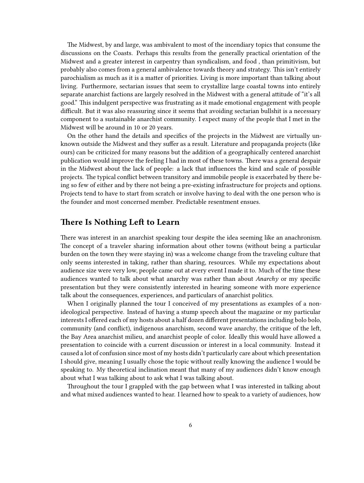The Midwest, by and large, was ambivalent to most of the incendiary topics that consume the discussions on the Coasts. Perhaps this results from the generally practical orientation of the Midwest and a greater interest in carpentry than syndicalism, and food , than primitivism, but probably also comes from a general ambivalence towards theory and strategy. This isn't entirely parochialism as much as it is a matter of priorities. Living is more important than talking about living. Furthermore, sectarian issues that seem to crystallize large coastal towns into entirely separate anarchist factions are largely resolved in the Midwest with a general attitude of "it's all good." This indulgent perspective was frustrating as it made emotional engagement with people difficult. But it was also reassuring since it seems that avoiding sectarian bullshit is a necessary component to a sustainable anarchist community. I expect many of the people that I met in the Midwest will be around in 10 or 20 years.

On the other hand the details and specifics of the projects in the Midwest are virtually unknown outside the Midwest and they suffer as a result. Literature and propaganda projects (like ours) can be criticized for many reasons but the addition of a geographically centered anarchist publication would improve the feeling I had in most of these towns. There was a general despair in the Midwest about the lack of people: a lack that influences the kind and scale of possible projects. The typical conflict between transitory and immobile people is exacerbated by there being so few of either and by there not being a pre-existing infrastructure for projects and options. Projects tend to have to start from scratch or involve having to deal with the one person who is the founder and most concerned member. Predictable resentment ensues.

#### <span id="page-5-0"></span>**There Is Nothing Left to Learn**

There was interest in an anarchist speaking tour despite the idea seeming like an anachronism. The concept of a traveler sharing information about other towns (without being a particular burden on the town they were staying in) was a welcome change from the traveling culture that only seems interested in taking, rather than sharing, resources. While my expectations about audience size were very low, people came out at every event I made it to. Much of the time these audiences wanted to talk about what anarchy was rather than about *Anarchy* or my specific presentation but they were consistently interested in hearing someone with more experience talk about the consequences, experiences, and particulars of anarchist politics.

When I originally planned the tour I conceived of my presentations as examples of a nonideological perspective. Instead of having a stump speech about the magazine or my particular interests I offered each of my hosts about a half dozen different presentations including bolo bolo, community (and conflict), indigenous anarchism, second wave anarchy, the critique of the left, the Bay Area anarchist milieu, and anarchist people of color. Ideally this would have allowed a presentation to coincide with a current discussion or interest in a local community. Instead it caused a lot of confusion since most of my hosts didn't particularly care about which presentation I should give, meaning I usually chose the topic without really knowing the audience I would be speaking to. My theoretical inclination meant that many of my audiences didn't know enough about what I was talking about to ask what I was talking about.

Throughout the tour I grappled with the gap between what I was interested in talking about and what mixed audiences wanted to hear. I learned how to speak to a variety of audiences, how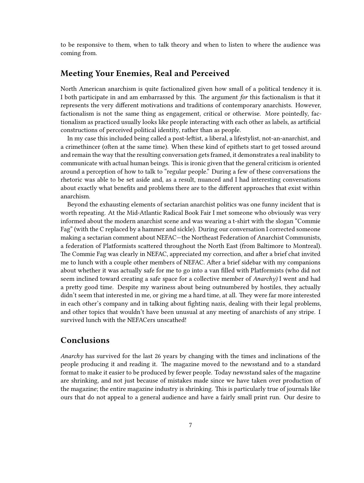to be responsive to them, when to talk theory and when to listen to where the audience was coming from.

#### <span id="page-6-0"></span>**Meeting Your Enemies, Real and Perceived**

North American anarchism is quite factionalized given how small of a political tendency it is. I both participate in and am embarrassed by this. The argument *for* this factionalism is that it represents the very different motivations and traditions of contemporary anarchists. However, factionalism is not the same thing as engagement, critical or otherwise. More pointedly, factionalism as practiced usually looks like people interacting with each other as labels, as artificial constructions of perceived political identity, rather than as people.

In my case this included being called a post-leftist, a liberal, a lifestylist, not-an-anarchist, and a crimethincer (often at the same time). When these kind of epithets start to get tossed around and remain the way that the resulting conversation gets framed, it demonstrates a real inability to communicate with actual human beings. This is ironic given that the general criticism is oriented around a perception of how to talk to "regular people." During a few of these conversations the rhetoric was able to be set aside and, as a result, nuanced and I had interesting conversations about exactly what benefits and problems there are to the different approaches that exist within anarchism.

Beyond the exhausting elements of sectarian anarchist politics was one funny incident that is worth repeating. At the Mid-Atlantic Radical Book Fair I met someone who obviously was very informed about the modern anarchist scene and was wearing a t-shirt with the slogan "Commie Fag" (with the C replaced by a hammer and sickle). During our conversation I corrected someone making a sectarian comment about NEFAC—the Northeast Federation of Anarchist Communists, a federation of Platformists scattered throughout the North East (from Baltimore to Montreal). The Commie Fag was clearly in NEFAC, appreciated my correction, and after a brief chat invited me to lunch with a couple other members of NEFAC. After a brief sidebar with my companions about whether it was actually safe for me to go into a van filled with Platformists (who did not seem inclined toward creating a safe space for a collective member of *Anarchy)* I went and had a pretty good time. Despite my wariness about being outnumbered by hostiles, they actually didn't seem that interested in me, or giving me a hard time, at all. They were far more interested in each other's company and in talking about fighting nazis, dealing with their legal problems, and other topics that wouldn't have been unusual at any meeting of anarchists of any stripe. I survived lunch with the NEFACers unscathed!

#### <span id="page-6-1"></span>**Conclusions**

*Anarchy* has survived for the last 26 years by changing with the times and inclinations of the people producing it and reading it. The magazine moved to the newsstand and to a standard format to make it easier to be produced by fewer people. Today newsstand sales of the magazine are shrinking, and not just because of mistakes made since we have taken over production of the magazine; the entire magazine industry is shrinking. This is particularly true of journals like ours that do not appeal to a general audience and have a fairly small print run. Our desire to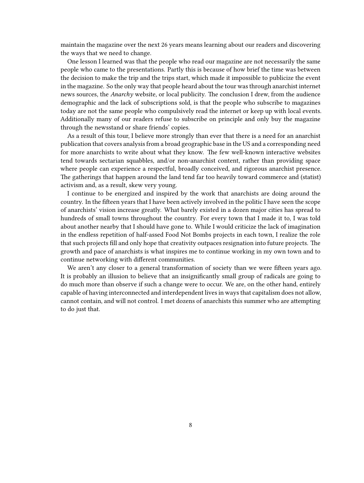maintain the magazine over the next 26 years means learning about our readers and discovering the ways that we need to change.

One lesson I learned was that the people who read our magazine are not necessarily the same people who came to the presentations. Partly this is because of how brief the time was between the decision to make the trip and the trips start, which made it impossible to publicize the event in the magazine. So the only way that people heard about the tour was through anarchist internet news sources, the *Anarchy* website, or local publicity. The conclusion I drew, from the audience demographic and the lack of subscriptions sold, is that the people who subscribe to magazines today are not the same people who compulsively read the internet or keep up with local events. Additionally many of our readers refuse to subscribe on principle and only buy the magazine through the newsstand or share friends' copies.

As a result of this tour, I believe more strongly than ever that there is a need for an anarchist publication that covers analysis from a broad geographic base in the US and a corresponding need for more anarchists to write about what they know. The few well-known interactive websites tend towards sectarian squabbles, and/or non-anarchist content, rather than providing space where people can experience a respectful, broadly conceived, and rigorous anarchist presence. The gatherings that happen around the land tend far too heavily toward commerce and (statist) activism and, as a result, skew very young.

I continue to be energized and inspired by the work that anarchists are doing around the country. In the fifteen years that I have been actively involved in the politic I have seen the scope of anarchists' vision increase greatly. What barely existed in a dozen major cities has spread to hundreds of small towns throughout the country. For every town that I made it to, I was told about another nearby that I should have gone to. While I would criticize the lack of imagination in the endless repetition of half-assed Food Not Bombs projects in each town, I realize the role that such projects fill and only hope that creativity outpaces resignation into future projects. The growth and pace of anarchists is what inspires me to continue working in my own town and to continue networking with different communities.

We aren't any closer to a general transformation of society than we were fifteen years ago. It is probably an illusion to believe that an insignificantly small group of radicals are going to do much more than observe if such a change were to occur. We are, on the other hand, entirely capable of having interconnected and interdependent lives in ways that capitalism does not allow, cannot contain, and will not control. I met dozens of anarchists this summer who are attempting to do just that.